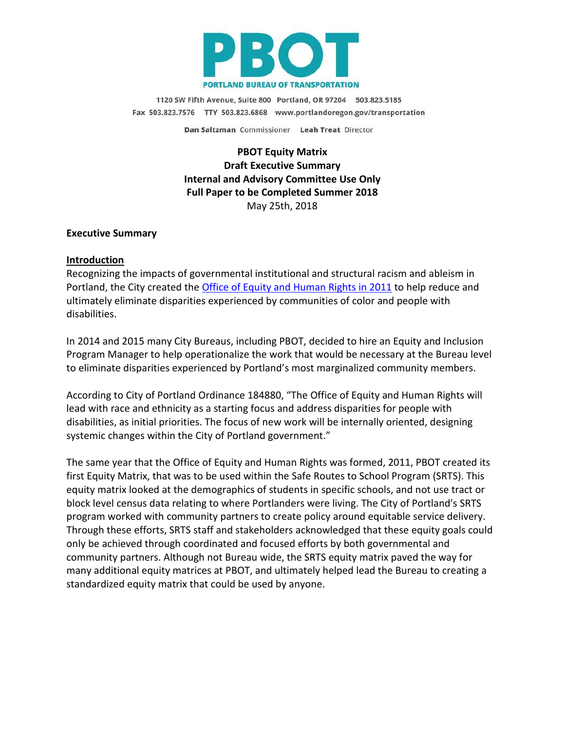

1120 SW Fifth Avenue, Suite 800 Portland, OR 97204 503.823.5185 Fax 503.823.7576 TTY 503.823.6868 www.portlandoregon.gov/transportation

Dan Saltzman Commissioner Leah Treat Director

**PBOT Equity Matrix Draft Executive Summary Internal and Advisory Committee Use Only Full Paper to be Completed Summer 2018** May 25th, 2018

#### **Executive Summary**

#### **Introduction**

Recognizing the impacts of governmental institutional and structural racism and ableism in Portland, the City created the [Office of Equity and Human Rights in 2011](https://www.portlandoregon.gov/oehr/index.cfm?&a=449202) to help reduce and ultimately eliminate disparities experienced by communities of color and people with disabilities.

In 2014 and 2015 many City Bureaus, including PBOT, decided to hire an Equity and Inclusion Program Manager to help operationalize the work that would be necessary at the Bureau level to eliminate disparities experienced by Portland's most marginalized community members.

According to City of Portland Ordinance 184880, "The Office of Equity and Human Rights will lead with race and ethnicity as a starting focus and address disparities for people with disabilities, as initial priorities. The focus of new work will be internally oriented, designing systemic changes within the City of Portland government."

The same year that the Office of Equity and Human Rights was formed, 2011, PBOT created its first Equity Matrix, that was to be used within the Safe Routes to School Program (SRTS). This equity matrix looked at the demographics of students in specific schools, and not use tract or block level census data relating to where Portlanders were living. The City of Portland's SRTS program worked with community partners to create policy around equitable service delivery. Through these efforts, SRTS staff and stakeholders acknowledged that these equity goals could only be achieved through coordinated and focused efforts by both governmental and community partners. Although not Bureau wide, the SRTS equity matrix paved the way for many additional equity matrices at PBOT, and ultimately helped lead the Bureau to creating a standardized equity matrix that could be used by anyone.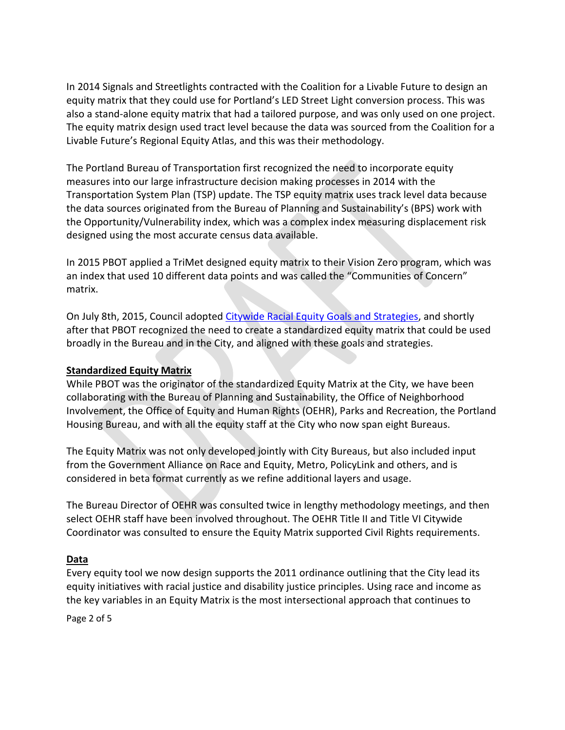In 2014 Signals and Streetlights contracted with the Coalition for a Livable Future to design an equity matrix that they could use for Portland's LED Street Light conversion process. This was also a stand-alone equity matrix that had a tailored purpose, and was only used on one project. The equity matrix design used tract level because the data was sourced from the Coalition for a Livable Future's Regional Equity Atlas, and this was their methodology.

The Portland Bureau of Transportation first recognized the need to incorporate equity measures into our large infrastructure decision making processes in 2014 with the Transportation System Plan (TSP) update. The TSP equity matrix uses track level data because the data sources originated from the Bureau of Planning and Sustainability's (BPS) work with the Opportunity/Vulnerability index, which was a complex index measuring displacement risk designed using the most accurate census data available.

In 2015 PBOT applied a TriMet designed equity matrix to their Vision Zero program, which was an index that used 10 different data points and was called the "Communities of Concern" matrix.

On July 8th, 2015, Council adopted [Citywide Racial Equity Goals and Strategies,](https://www.portlandoregon.gov/oehr/68111) and shortly after that PBOT recognized the need to create a standardized equity matrix that could be used broadly in the Bureau and in the City, and aligned with these goals and strategies.

### **Standardized Equity Matrix**

While PBOT was the originator of the standardized Equity Matrix at the City, we have been collaborating with the Bureau of Planning and Sustainability, the Office of Neighborhood Involvement, the Office of Equity and Human Rights (OEHR), Parks and Recreation, the Portland Housing Bureau, and with all the equity staff at the City who now span eight Bureaus.

The Equity Matrix was not only developed jointly with City Bureaus, but also included input from the Government Alliance on Race and Equity, Metro, PolicyLink and others, and is considered in beta format currently as we refine additional layers and usage.

The Bureau Director of OEHR was consulted twice in lengthy methodology meetings, and then select OEHR staff have been involved throughout. The OEHR Title II and Title VI Citywide Coordinator was consulted to ensure the Equity Matrix supported Civil Rights requirements.

#### **Data**

Every equity tool we now design supports the 2011 ordinance outlining that the City lead its equity initiatives with racial justice and disability justice principles. Using race and income as the key variables in an Equity Matrix is the most intersectional approach that continues to

Page 2 of 5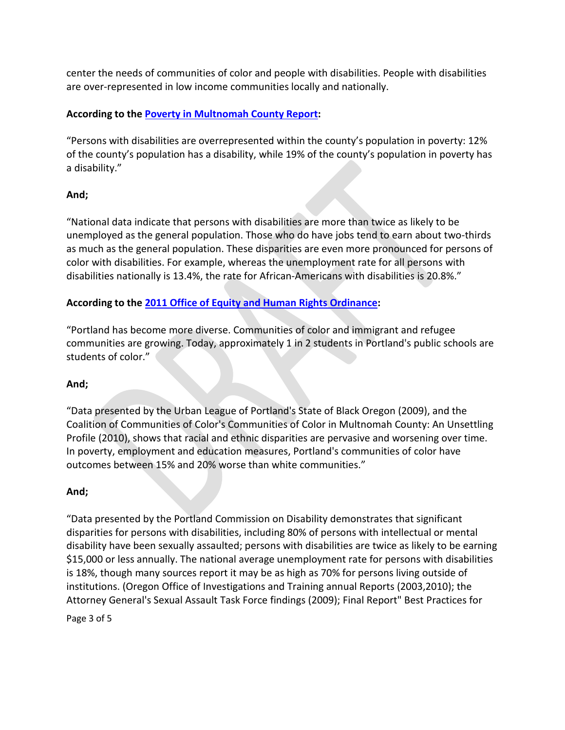center the needs of communities of color and people with disabilities. People with disabilities are over-represented in low income communities locally and nationally.

# **According to the [Poverty in Multnomah County Report:](https://multco.us/file/34343/download)**

"Persons with disabilities are overrepresented within the county's population in poverty: 12% of the county's population has a disability, while 19% of the county's population in poverty has a disability.["](https://multco.us/file/34343/download)

## **And;**

"National data indicate that persons with disabilities are more than twice as likely to be unemployed as the general population. Those who do have jobs tend to earn about two-thirds as much as the general population. These disparities are even more pronounced for persons of color with disabilities. For example, whereas the unemployment rate for all persons with disabilities nationally is 13.4%, the rate for African-Americans with disabilities is 20.8%.["](https://multco.us/file/34343/download)

## **According to the [2011 Office of Equity and Human Rights Ordinance:](https://www.portlandoregon.gov/oehr/index.cfm?&a=449202)**

"Portland has become more diverse. Communities of color and immigrant and refugee communities are growing. Today, approximately 1 in 2 students in Portland's public schools are students of color."

## **And;**

"Data presented by the Urban League of Portland's State of Black Oregon (2009), and the Coalition of Communities of Color's Communities of Color in Multnomah County: An Unsettling Profile (2010), shows that racial and ethnic disparities are pervasive and worsening over time. In poverty, employment and education measures, Portland's communities of color have outcomes between 15% and 20% worse than white communities."

## **And;**

"Data presented by the Portland Commission on Disability demonstrates that significant disparities for persons with disabilities, including 80% of persons with intellectual or mental disability have been sexually assaulted; persons with disabilities are twice as likely to be earning \$15,000 or less annually. The national average unemployment rate for persons with disabilities is 18%, though many sources report it may be as high as 70% for persons living outside of institutions. (Oregon Office of Investigations and Training annual Reports (2003,2010); the Attorney General's Sexual Assault Task Force findings (2009); Final Report" Best Practices for

Page 3 of 5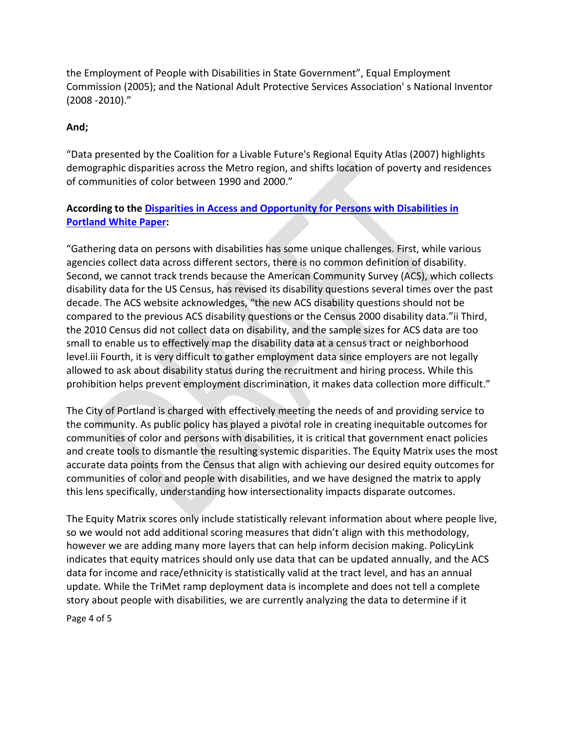the Employment of People with Disabilities in State Government", Equal Employment Commission (2005); and the National Adult Protective Services Association' s National Inventor (2008 -2010)."

## **And;**

"Data presented by the Coalition for a Livable Future's Regional Equity Atlas (2007) highlights demographic disparities across the Metro region, and shifts location of poverty and residences of communities of color between 1990 and 2000."

## **According to the [Disparities in Access and Opportunity for Persons with Disabilities in](https://www.northwesthealth.org/resource/2014/2/3/disparities-in-access-and-opportunity-for-persons-with-disabilities-in-portland)  [Portland White Paper:](https://www.northwesthealth.org/resource/2014/2/3/disparities-in-access-and-opportunity-for-persons-with-disabilities-in-portland)**

"Gathering data on persons with disabilities has some unique challenges. First, while various agencies collect data across different sectors, there is no common definition of disability. Second, we cannot track trends because the American Community Survey (ACS), which collects disability data for the US Census, has revised its disability questions several times over the past decade. The ACS website acknowledges, "the new ACS disability questions should not be compared to the previous ACS disability questions or the Census 2000 disability data."ii Third, the 2010 Census did not collect data on disability, and the sample sizes for ACS data are too small to enable us to effectively map the disability data at a census tract or neighborhood level.iii Fourth, it is very difficult to gather employment data since employers are not legally allowed to ask about disability status during the recruitment and hiring process. While this prohibition helps prevent employment discrimination, it makes data collection more difficult."

The City of Portland is charged with effectively meeting the needs of and providing service to the community. As public policy has played a pivotal role in creating inequitable outcomes for communities of color and persons with disabilities, it is critical that government enact policies and create tools to dismantle the resulting systemic disparities. The Equity Matrix uses the most accurate data points from the Census that align with achieving our desired equity outcomes for communities of color and people with disabilities, and we have designed the matrix to apply this lens specifically, understanding how intersectionality impacts disparate outcomes.

The Equity Matrix scores only include statistically relevant information about where people live, so we would not add additional scoring measures that didn't align with this methodology, however we are adding many more layers that can help inform decision making. PolicyLink indicates that equity matrices should only use data that can be updated annually, and the ACS data for income and race/ethnicity is statistically valid at the tract level, and has an annual update. While the TriMet ramp deployment data is incomplete and does not tell a complete story about people with disabilities, we are currently analyzing the data to determine if it

Page 4 of 5